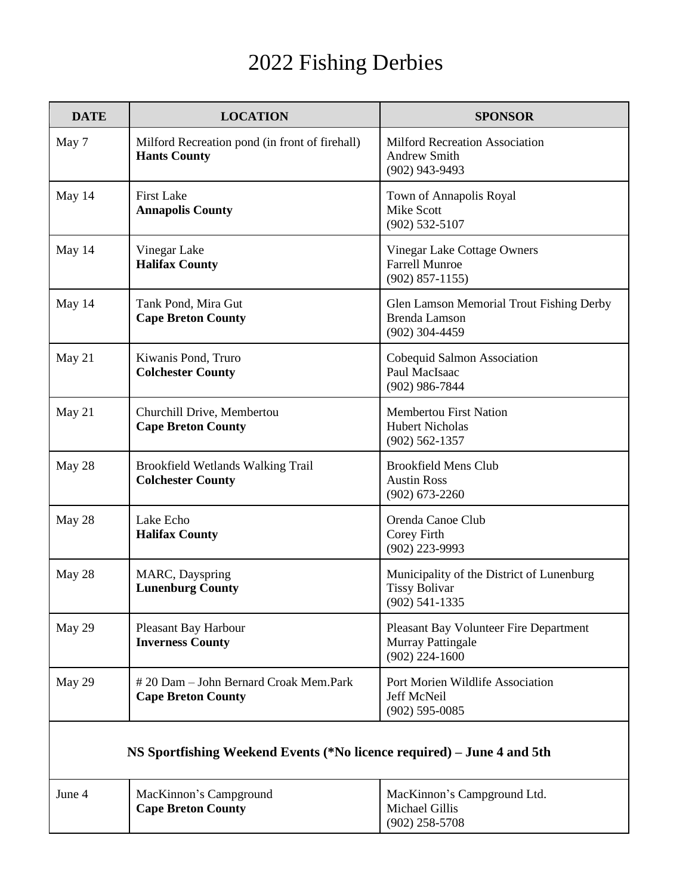## 2022 Fishing Derbies

| <b>DATE</b>                                                            | <b>LOCATION</b>                                                       | <b>SPONSOR</b>                                                                        |  |
|------------------------------------------------------------------------|-----------------------------------------------------------------------|---------------------------------------------------------------------------------------|--|
| May 7                                                                  | Milford Recreation pond (in front of firehall)<br><b>Hants County</b> | <b>Milford Recreation Association</b><br><b>Andrew Smith</b><br>$(902)$ 943-9493      |  |
| May 14                                                                 | <b>First Lake</b><br><b>Annapolis County</b>                          | Town of Annapolis Royal<br><b>Mike Scott</b><br>$(902)$ 532-5107                      |  |
| May 14                                                                 | Vinegar Lake<br><b>Halifax County</b>                                 | Vinegar Lake Cottage Owners<br><b>Farrell Munroe</b><br>$(902) 857 - 1155$            |  |
| May 14                                                                 | Tank Pond, Mira Gut<br><b>Cape Breton County</b>                      | Glen Lamson Memorial Trout Fishing Derby<br><b>Brenda Lamson</b><br>$(902)$ 304-4459  |  |
| May 21                                                                 | Kiwanis Pond, Truro<br><b>Colchester County</b>                       | Cobequid Salmon Association<br>Paul MacIsaac<br>$(902)$ 986-7844                      |  |
| May 21                                                                 | Churchill Drive, Membertou<br><b>Cape Breton County</b>               | <b>Membertou First Nation</b><br><b>Hubert Nicholas</b><br>$(902) 562 - 1357$         |  |
| May 28                                                                 | Brookfield Wetlands Walking Trail<br><b>Colchester County</b>         | <b>Brookfield Mens Club</b><br><b>Austin Ross</b><br>$(902) 673 - 2260$               |  |
| May 28                                                                 | Lake Echo<br><b>Halifax County</b>                                    | Orenda Canoe Club<br>Corey Firth<br>(902) 223-9993                                    |  |
| May 28                                                                 | MARC, Dayspring<br><b>Lunenburg County</b>                            | Municipality of the District of Lunenburg<br><b>Tissy Bolivar</b><br>$(902)$ 541-1335 |  |
| May 29                                                                 | Pleasant Bay Harbour<br><b>Inverness County</b>                       | Pleasant Bay Volunteer Fire Department<br>Murray Pattingale<br>$(902)$ 224-1600       |  |
| May 29                                                                 | #20 Dam - John Bernard Croak Mem.Park<br><b>Cape Breton County</b>    | Port Morien Wildlife Association<br>Jeff McNeil<br>$(902) 595 - 0085$                 |  |
| NS Sportfishing Weekend Events (*No licence required) – June 4 and 5th |                                                                       |                                                                                       |  |
| June 4                                                                 | MacKinnon's Campground<br><b>Cape Breton County</b>                   | MacKinnon's Campground Ltd.<br><b>Michael Gillis</b><br>$(902)$ 258-5708              |  |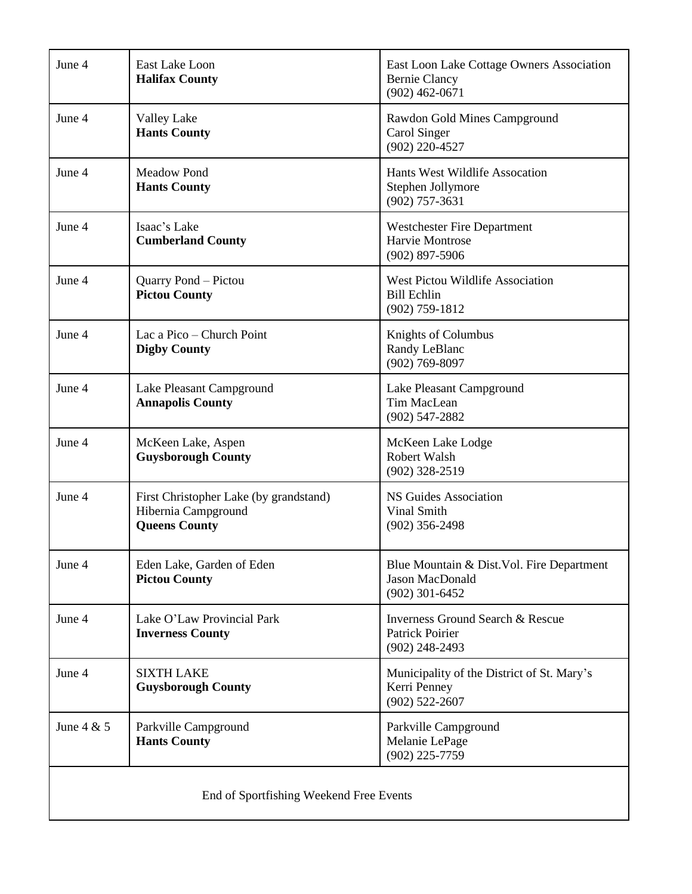| June 4                                  | East Lake Loon<br><b>Halifax County</b>                                               | East Loon Lake Cottage Owners Association<br><b>Bernie Clancy</b><br>$(902)$ 462-0671     |  |
|-----------------------------------------|---------------------------------------------------------------------------------------|-------------------------------------------------------------------------------------------|--|
| June 4                                  | <b>Valley Lake</b><br><b>Hants County</b>                                             | Rawdon Gold Mines Campground<br>Carol Singer<br>$(902)$ 220-4527                          |  |
| June 4                                  | Meadow Pond<br><b>Hants County</b>                                                    | Hants West Wildlife Assocation<br>Stephen Jollymore<br>$(902)$ 757-3631                   |  |
| June 4                                  | Isaac's Lake<br><b>Cumberland County</b>                                              | <b>Westchester Fire Department</b><br>Harvie Montrose<br>$(902)$ 897-5906                 |  |
| June 4                                  | Quarry Pond - Pictou<br><b>Pictou County</b>                                          | West Pictou Wildlife Association<br><b>Bill Echlin</b><br>$(902)$ 759-1812                |  |
| June 4                                  | Lac a Pico – Church Point<br><b>Digby County</b>                                      | Knights of Columbus<br>Randy LeBlanc<br>$(902)$ 769-8097                                  |  |
| June 4                                  | Lake Pleasant Campground<br><b>Annapolis County</b>                                   | Lake Pleasant Campground<br>Tim MacLean<br>$(902)$ 547-2882                               |  |
| June 4                                  | McKeen Lake, Aspen<br><b>Guysborough County</b>                                       | McKeen Lake Lodge<br><b>Robert Walsh</b><br>$(902)$ 328-2519                              |  |
| June 4                                  | First Christopher Lake (by grandstand)<br>Hibernia Campground<br><b>Queens County</b> | <b>NS Guides Association</b><br>Vinal Smith<br>$(902)$ 356-2498                           |  |
| June 4                                  | Eden Lake, Garden of Eden<br><b>Pictou County</b>                                     | Blue Mountain & Dist. Vol. Fire Department<br>Jason MacDonald<br>$(902)$ 301-6452         |  |
| June 4                                  | Lake O'Law Provincial Park<br><b>Inverness County</b>                                 | <b>Inverness Ground Search &amp; Rescue</b><br><b>Patrick Poirier</b><br>$(902)$ 248-2493 |  |
| June 4                                  | <b>SIXTH LAKE</b><br><b>Guysborough County</b>                                        | Municipality of the District of St. Mary's<br>Kerri Penney<br>$(902)$ 522-2607            |  |
| June $4 & 5$                            | Parkville Campground<br><b>Hants County</b>                                           | Parkville Campground<br>Melanie LePage<br>$(902)$ 225-7759                                |  |
| End of Sportfishing Weekend Free Events |                                                                                       |                                                                                           |  |